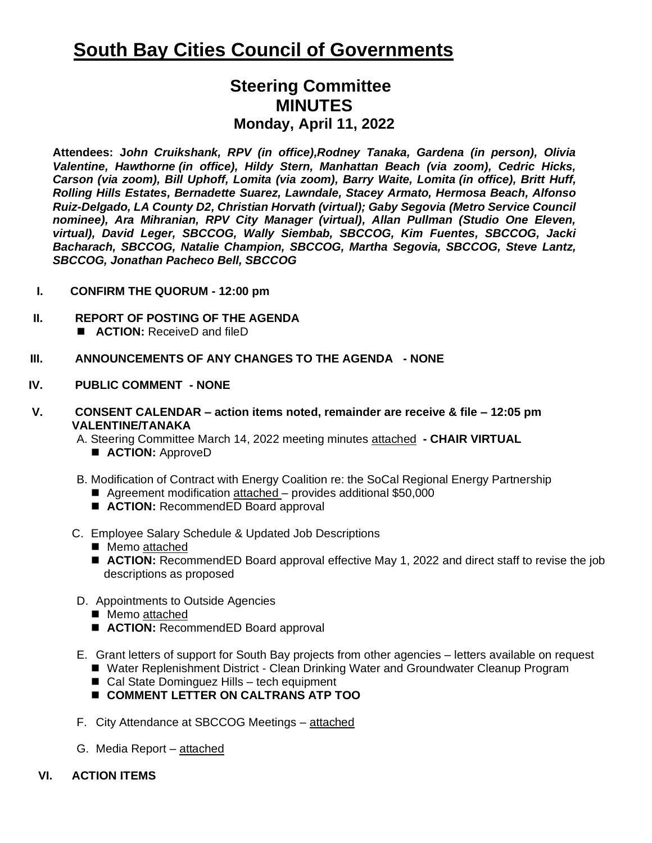## **South Bay Cities Council of Governments**

## **Steering Committee MINUTES Monday, April 11, 2022**

**Attendees: J***ohn Cruikshank, RPV (in office),Rodney Tanaka, Gardena (in person), Olivia Valentine, Hawthorne (in office), Hildy Stern, Manhattan Beach (via zoom), Cedric Hicks, Carson (via zoom), Bill Uphoff, Lomita (via zoom), Barry Waite, Lomita (in office), Britt Huff, Rolling Hills Estates, Bernadette Suarez, Lawndale, Stacey Armato, Hermosa Beach, Alfonso Ruiz-Delgado, LA County D2, Christian Horvath (virtual); Gaby Segovia (Metro Service Council nominee), Ara Mihranian, RPV City Manager (virtual), Allan Pullman (Studio One Eleven, virtual), David Leger, SBCCOG, Wally Siembab, SBCCOG, Kim Fuentes, SBCCOG, Jacki Bacharach, SBCCOG, Natalie Champion, SBCCOG, Martha Segovia, SBCCOG, Steve Lantz, SBCCOG, Jonathan Pacheco Bell, SBCCOG*

- **I. CONFIRM THE QUORUM - 12:00 pm**
- **II. REPORT OF POSTING OF THE AGENDA**  ■ **ACTION:** ReceiveD and fileD
- **III. ANNOUNCEMENTS OF ANY CHANGES TO THE AGENDA - NONE**
- **IV. PUBLIC COMMENT - NONE**
- **V. CONSENT CALENDAR – action items noted, remainder are receive & file – 12:05 pm VALENTINE/TANAKA**

A. Steering Committee March 14, 2022 meeting minutes attached **- CHAIR VIRTUAL**

- **ACTION:** ApproveD
- B. Modification of Contract with Energy Coalition re: the SoCal Regional Energy Partnership
	- Agreement modification attached provides additional \$50,000
	- **ACTION:** RecommendED Board approval
- C. Employee Salary Schedule & Updated Job Descriptions
	- Memo attached
	- **ACTION:** RecommendED Board approval effective May 1, 2022 and direct staff to revise the job descriptions as proposed
- D. Appointments to Outside Agencies
	- Memo attached
	- **ACTION:** RecommendED Board approval
- E. Grant letters of support for South Bay projects from other agencies letters available on request
	- Water Replenishment District Clean Drinking Water and Groundwater Cleanup Program
	- Cal State Dominguez Hills tech equipment
	- ◼ **COMMENT LETTER ON CALTRANS ATP TOO**
- F. City Attendance at SBCCOG Meetings attached
- G. Media Report attached
- **VI. ACTION ITEMS**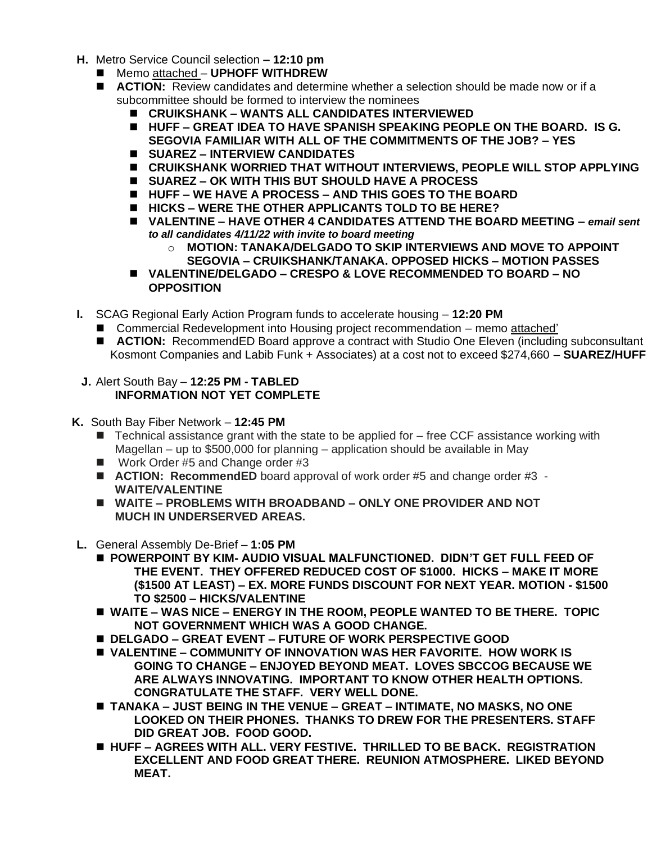- **H.** Metro Service Council selection **– 12:10 pm**
	- ◼ Memo attached **UPHOFF WITHDREW**
	- **ACTION:** Review candidates and determine whether a selection should be made now or if a subcommittee should be formed to interview the nominees
		- ◼ **CRUIKSHANK – WANTS ALL CANDIDATES INTERVIEWED**
		- ◼ **HUFF – GREAT IDEA TO HAVE SPANISH SPEAKING PEOPLE ON THE BOARD. IS G. SEGOVIA FAMILIAR WITH ALL OF THE COMMITMENTS OF THE JOB? – YES**
		- ◼ **SUAREZ – INTERVIEW CANDIDATES**
		- CRUIKSHANK WORRIED THAT WITHOUT INTERVIEWS, PEOPLE WILL STOP APPLYING
		- ◼ **SUAREZ – OK WITH THIS BUT SHOULD HAVE A PROCESS**
		- ◼ **HUFF – WE HAVE A PROCESS – AND THIS GOES TO THE BOARD**
		- ◼ **HICKS – WERE THE OTHER APPLICANTS TOLD TO BE HERE?**
		- ◼ **VALENTINE – HAVE OTHER 4 CANDIDATES ATTEND THE BOARD MEETING –** *email sent to all candidates 4/11/22 with invite to board meeting*
			- o **MOTION: TANAKA/DELGADO TO SKIP INTERVIEWS AND MOVE TO APPOINT SEGOVIA – CRUIKSHANK/TANAKA. OPPOSED HICKS – MOTION PASSES**
		- ◼ **VALENTINE/DELGADO – CRESPO & LOVE RECOMMENDED TO BOARD – NO OPPOSITION**
- **I.** SCAG Regional Early Action Program funds to accelerate housing **12:20 PM** 
	- Commercial Redevelopment into Housing project recommendation memo attached'
	- **ACTION:** RecommendED Board approve a contract with Studio One Eleven (including subconsultant Kosmont Companies and Labib Funk + Associates) at a cost not to exceed \$274,660 – **SUAREZ/HUFF**
- **J.** Alert South Bay **12:25 PM - TABLED INFORMATION NOT YET COMPLETE**
- **K.** South Bay Fiber Network **12:45 PM** 
	- $\blacksquare$  Technical assistance grant with the state to be applied for  $-$  free CCF assistance working with Magellan – up to \$500,000 for planning – application should be available in May
	- Work Order #5 and Change order #3
	- **ACTION: RecommendED** board approval of work order #5 and change order #3 -**WAITE/VALENTINE**
	- ◼ **WAITE – PROBLEMS WITH BROADBAND – ONLY ONE PROVIDER AND NOT MUCH IN UNDERSERVED AREAS.**
- **L.** General Assembly De-Brief **1:05 PM** 
	- POWERPOINT BY KIM- AUDIO VISUAL MALFUNCTIONED. DIDN'T GET FULL FEED OF **THE EVENT. THEY OFFERED REDUCED COST OF \$1000. HICKS – MAKE IT MORE (\$1500 AT LEAST) – EX. MORE FUNDS DISCOUNT FOR NEXT YEAR. MOTION - \$1500 TO \$2500 – HICKS/VALENTINE**
	- ◼ **WAITE – WAS NICE – ENERGY IN THE ROOM, PEOPLE WANTED TO BE THERE. TOPIC NOT GOVERNMENT WHICH WAS A GOOD CHANGE.**
	- ◼ **DELGADO – GREAT EVENT – FUTURE OF WORK PERSPECTIVE GOOD**
	- ◼ **VALENTINE – COMMUNITY OF INNOVATION WAS HER FAVORITE. HOW WORK IS GOING TO CHANGE – ENJOYED BEYOND MEAT. LOVES SBCCOG BECAUSE WE ARE ALWAYS INNOVATING. IMPORTANT TO KNOW OTHER HEALTH OPTIONS. CONGRATULATE THE STAFF. VERY WELL DONE.**
	- ◼ **TANAKA – JUST BEING IN THE VENUE – GREAT – INTIMATE, NO MASKS, NO ONE LOOKED ON THEIR PHONES. THANKS TO DREW FOR THE PRESENTERS. STAFF DID GREAT JOB. FOOD GOOD.**
	- HUFF AGREES WITH ALL. VERY FESTIVE. THRILLED TO BE BACK. REGISTRATION **EXCELLENT AND FOOD GREAT THERE. REUNION ATMOSPHERE. LIKED BEYOND MEAT.**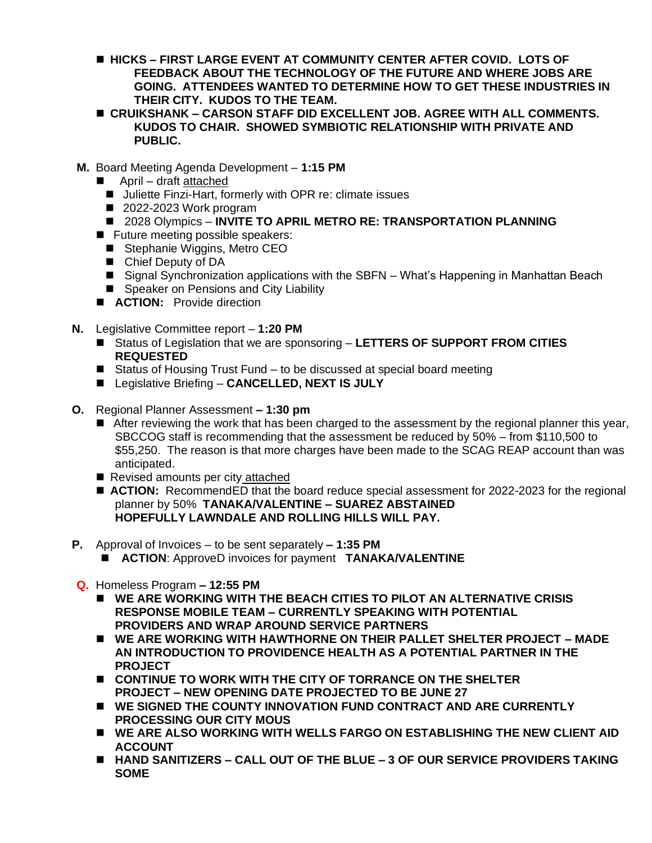- HICKS FIRST LARGE EVENT AT COMMUNITY CENTER AFTER COVID. LOTS OF **FEEDBACK ABOUT THE TECHNOLOGY OF THE FUTURE AND WHERE JOBS ARE GOING. ATTENDEES WANTED TO DETERMINE HOW TO GET THESE INDUSTRIES IN THEIR CITY. KUDOS TO THE TEAM.**
- ◼ **CRUIKSHANK – CARSON STAFF DID EXCELLENT JOB. AGREE WITH ALL COMMENTS. KUDOS TO CHAIR. SHOWED SYMBIOTIC RELATIONSHIP WITH PRIVATE AND PUBLIC.**
- **M.** Board Meeting Agenda Development **1:15 PM** 
	- April draft attached
		- Juliette Finzi-Hart, formerly with OPR re: climate issues
		- 2022-2023 Work program
		- ◼ 2028 Olympics **INVITE TO APRIL METRO RE: TRANSPORTATION PLANNING**
	- Future meeting possible speakers:
		- Stephanie Wiggins, Metro CEO
		- Chief Deputy of DA
		- Signal Synchronization applications with the SBFN What's Happening in Manhattan Beach
		- Speaker on Pensions and City Liability
	- **ACTION:** Provide direction
- **N.** Legislative Committee report **1:20 PM**
	- Status of Legislation that we are sponsoring LETTERS OF SUPPORT FROM CITIES **REQUESTED**
	- Status of Housing Trust Fund to be discussed at special board meeting
	- Legislative Briefing **CANCELLED, NEXT IS JULY**
- **O.** Regional Planner Assessment **– 1:30 pm**
	- After reviewing the work that has been charged to the assessment by the regional planner this year, SBCCOG staff is recommending that the assessment be reduced by 50% – from \$110,500 to \$55,250. The reason is that more charges have been made to the SCAG REAP account than was anticipated.
	- Revised amounts per city attached
	- **ACTION:** RecommendED that the board reduce special assessment for 2022-2023 for the regional planner by 50% **TANAKA/VALENTINE – SUAREZ ABSTAINED HOPEFULLY LAWNDALE AND ROLLING HILLS WILL PAY.**
- **P.** Approval of Invoices to be sent separately **– 1:35 PM** 
	- **ACTION: ApproveD invoices for payment <b>TANAKA/VALENTINE**
- **Q.** Homeless Program **– 12:55 PM**
	- ◼ **WE ARE WORKING WITH THE BEACH CITIES TO PILOT AN ALTERNATIVE CRISIS RESPONSE MOBILE TEAM – CURRENTLY SPEAKING WITH POTENTIAL PROVIDERS AND WRAP AROUND SERVICE PARTNERS**
	- ◼ **WE ARE WORKING WITH HAWTHORNE ON THEIR PALLET SHELTER PROJECT – MADE AN INTRODUCTION TO PROVIDENCE HEALTH AS A POTENTIAL PARTNER IN THE PROJECT**
	- ◼ **CONTINUE TO WORK WITH THE CITY OF TORRANCE ON THE SHELTER PROJECT – NEW OPENING DATE PROJECTED TO BE JUNE 27**
	- ◼ **WE SIGNED THE COUNTY INNOVATION FUND CONTRACT AND ARE CURRENTLY PROCESSING OUR CITY MOUS**
	- WE ARE ALSO WORKING WITH WELLS FARGO ON ESTABLISHING THE NEW CLIENT AID **ACCOUNT**
	- HAND SANITIZERS CALL OUT OF THE BLUE 3 OF OUR SERVICE PROVIDERS TAKING **SOME**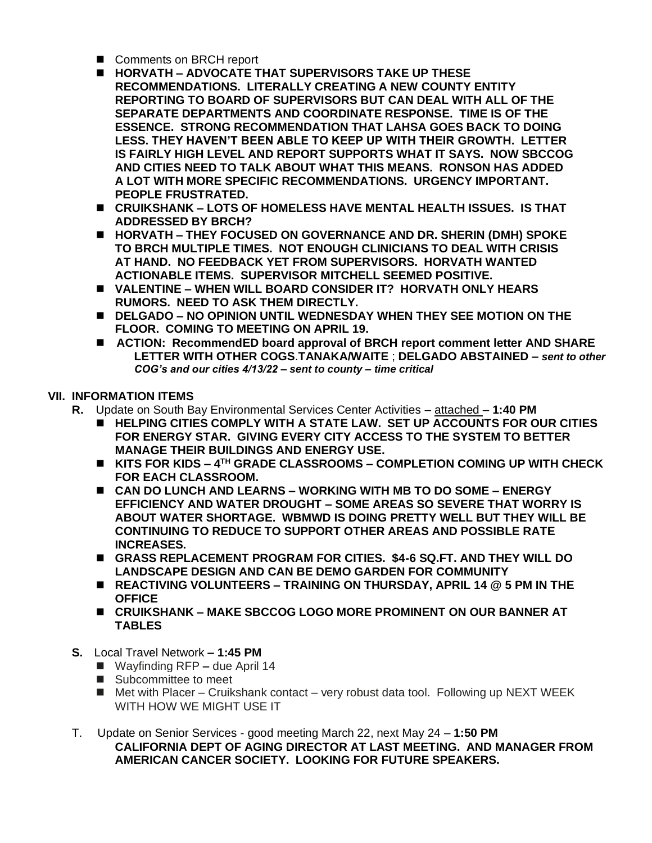- Comments on BRCH report
- ◼ **HORVATH – ADVOCATE THAT SUPERVISORS TAKE UP THESE RECOMMENDATIONS. LITERALLY CREATING A NEW COUNTY ENTITY REPORTING TO BOARD OF SUPERVISORS BUT CAN DEAL WITH ALL OF THE SEPARATE DEPARTMENTS AND COORDINATE RESPONSE. TIME IS OF THE ESSENCE. STRONG RECOMMENDATION THAT LAHSA GOES BACK TO DOING LESS. THEY HAVEN'T BEEN ABLE TO KEEP UP WITH THEIR GROWTH. LETTER IS FAIRLY HIGH LEVEL AND REPORT SUPPORTS WHAT IT SAYS. NOW SBCCOG AND CITIES NEED TO TALK ABOUT WHAT THIS MEANS. RONSON HAS ADDED A LOT WITH MORE SPECIFIC RECOMMENDATIONS. URGENCY IMPORTANT. PEOPLE FRUSTRATED.**
- CRUIKSHANK LOTS OF HOMELESS HAVE MENTAL HEALTH ISSUES. IS THAT **ADDRESSED BY BRCH?**
- ◼ **HORVATH – THEY FOCUSED ON GOVERNANCE AND DR. SHERIN (DMH) SPOKE TO BRCH MULTIPLE TIMES. NOT ENOUGH CLINICIANS TO DEAL WITH CRISIS AT HAND. NO FEEDBACK YET FROM SUPERVISORS. HORVATH WANTED ACTIONABLE ITEMS. SUPERVISOR MITCHELL SEEMED POSITIVE.**
- ◼ **VALENTINE – WHEN WILL BOARD CONSIDER IT? HORVATH ONLY HEARS RUMORS. NEED TO ASK THEM DIRECTLY.**
- **DELGADO NO OPINION UNTIL WEDNESDAY WHEN THEY SEE MOTION ON THE FLOOR. COMING TO MEETING ON APRIL 19.**
- **ACTION: RecommendED board approval of BRCH report comment letter AND SHARE LETTER WITH OTHER COGS**.**TANAKA/WAITE** ; **DELGADO ABSTAINED –** *sent to other COG's and our cities 4/13/22 – sent to county – time critical*

## **VII. INFORMATION ITEMS**

- **R.** Update on South Bay Environmental Services Center Activities attached **1:40 PM**
	- HELPING CITIES COMPLY WITH A STATE LAW. SET UP ACCOUNTS FOR OUR CITIES **FOR ENERGY STAR. GIVING EVERY CITY ACCESS TO THE SYSTEM TO BETTER MANAGE THEIR BUILDINGS AND ENERGY USE.**
	- ◼ **KITS FOR KIDS – 4 TH GRADE CLASSROOMS – COMPLETION COMING UP WITH CHECK FOR EACH CLASSROOM.**
	- ◼ **CAN DO LUNCH AND LEARNS – WORKING WITH MB TO DO SOME – ENERGY EFFICIENCY AND WATER DROUGHT – SOME AREAS SO SEVERE THAT WORRY IS ABOUT WATER SHORTAGE. WBMWD IS DOING PRETTY WELL BUT THEY WILL BE CONTINUING TO REDUCE TO SUPPORT OTHER AREAS AND POSSIBLE RATE INCREASES.**
	- ◼ **GRASS REPLACEMENT PROGRAM FOR CITIES. \$4-6 SQ.FT. AND THEY WILL DO LANDSCAPE DESIGN AND CAN BE DEMO GARDEN FOR COMMUNITY**
	- ◼ **REACTIVING VOLUNTEERS – TRAINING ON THURSDAY, APRIL 14 @ 5 PM IN THE OFFICE**
	- ◼ **CRUIKSHANK – MAKE SBCCOG LOGO MORE PROMINENT ON OUR BANNER AT TABLES**
- **S.** Local Travel Network **– 1:45 PM** 
	- Wayfinding RFP due April 14
	- Subcommittee to meet
	- $\blacksquare$  Met with Placer Cruikshank contact very robust data tool. Following up NEXT WEEK WITH HOW WE MIGHT USE IT
- T. Update on Senior Services good meeting March 22, next May 24 **1:50 PM CALIFORNIA DEPT OF AGING DIRECTOR AT LAST MEETING. AND MANAGER FROM AMERICAN CANCER SOCIETY. LOOKING FOR FUTURE SPEAKERS.**